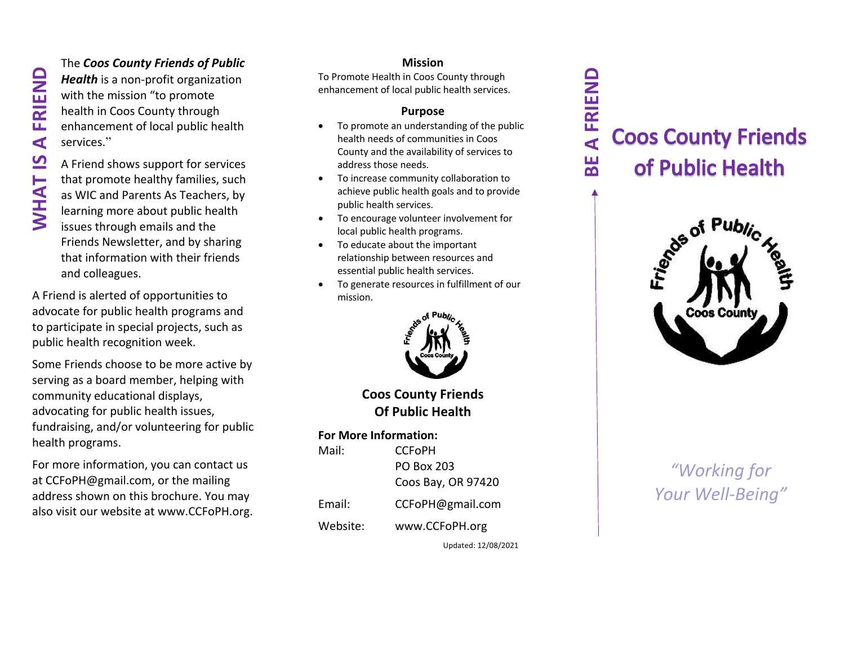#### The *Coos County Friends of Public*

*Health* is a non -profit organization with the mission "to promote health in Coos County through enhancement of local public health services. "

A Friend shows support for services that promote healthy families, such as WIC and Parents As Teachers, by learning more about public health issues through emails and the Friends Newsletter, and by sharing that information with their friends and colleagues.

A Friend is alerted of opportunities t o advocate for public health programs and to participate in special projects, such as public health recognition week.

Some Friends choose to be more active by serving as a board member, helping with community educational displays, advocating for public health issues, fundraising, and/or volunteering for public health programs.

For more information, you can contact us at CCFoPH@gmail.com, or the mailing address shown on this brochure. You may also visit our website at www.CCFoPH.org.

#### **Mission**

To Promote Health in Coos County through enhancement of local public health services.

#### **Purpose**

- To promote an understanding of the public health needs of communities in Coos County and the availability of services to address those needs.
- To increase community collaboration to achieve public health goals and to provide public health services.
- To encourage volunteer involvement for local public health programs.
- To educate about the important relationship between resources and essential public health services.
- To generate resources in fulfillment of our mission.



**Coos County Friends Of Public Health**

#### **For More Information:**

| Mail:    | <b>CCFoPH</b>      |
|----------|--------------------|
|          | PO Box 203         |
|          | Coos Bay, OR 97420 |
| Email:   | CCFoPH@gmail.com   |
| Website: | www.CCFoPH.org     |

Updated: 12/08/2021

# **Coos County Friends** of Public Health

**BE A FRIEND**

님

**A FRIEND** 



## *"Working for Your Well -Being"*